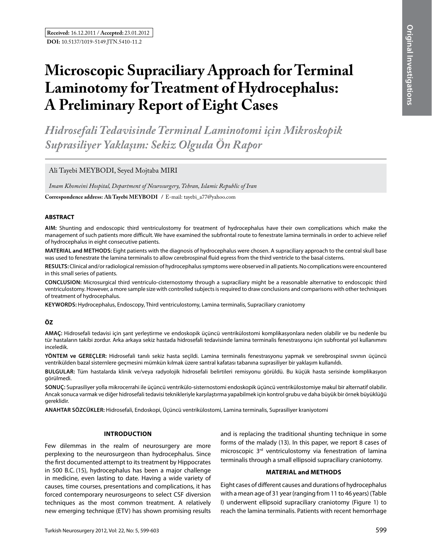# **Microscopic Supraciliary Approach for Terminal Laminotomy for Treatment of Hydrocephalus: A Preliminary Report of Eight Cases**

*Hidrosefali Tedavisinde Terminal Laminotomi için Mikroskopik Suprasiliyer Yaklaşım: Sekiz Olguda Ön Rapor* 

Ali Tayebi MEYBODI, Seyed Mojtaba MIRI

*Imam Khomeini Hospital, Department of Neurosurgery, Tehran, Islamic Republic of Iran*

**Correspondence address: Ali Tayebi MEYBODI** / E-mail: tayebi\_a77@yahoo.com

#### **ABSTRACT**

**AIm:** Shunting and endoscopic third ventriculostomy for treatment of hydrocephalus have their own complications which make the management of such patients more difficult. We have examined the subfrontal route to fenestrate lamina terminalis in order to achieve relief of hydrocephalus in eight consecutive patients.

**MaterIal and Methods:** Eight patients with the diagnosis of hydrocephalus were chosen. A supraciliary approach to the central skull base was used to fenestrate the lamina terminalis to allow cerebrospinal fluid egress from the third ventricle to the basal cisterns.

**Results:** Clinical and/or radiological remission of hydrocephalus symptoms were observed in all patients. No complications were encountered in this small series of patients.

**ConclusIon:** Microsurgical third ventriculo-cisternostomy through a supraciliary might be a reasonable alternative to endoscopic third ventriculostomy. However, a more sample size with controlled subjects is required to draw conclusions and comparisons with other techniques of treatment of hydrocephalus.

**Keywords:** Hydrocephalus, Endoscopy, Third ventriculostomy, Lamina terminalis, Supraciliary craniotomy

# **ÖZ**

**AMAÇ:** Hidrosefali tedavisi için şant yerleştirme ve endoskopik üçüncü ventrikülostomi komplikasyonlara neden olabilir ve bu nedenle bu tür hastaların takibi zordur. Arka arkaya sekiz hastada hidrosefali tedavisinde lamina terminalis fenestrasyonu için subfrontal yol kullanımını inceledik.

**YÖNTEM ve GEREÇLER:** Hidrosefali tanılı sekiz hasta seçildi. Lamina terminalis fenestrasyonu yapmak ve serebrospinal sıvının üçüncü ventrikülden bazal sisternlere geçmesini mümkün kılmak üzere santral kafatası tabanına suprasiliyer bir yaklaşım kullanıldı.

**BULGULAR:** Tüm hastalarda klinik ve/veya radyolojik hidrosefali belirtileri remisyonu görüldü. Bu küçük hasta serisinde komplikasyon görülmedi.

**SONUÇ:** Suprasiliyer yolla mikrocerrahi ile üçüncü ventrikülo-sisternostomi endoskopik üçüncü ventrikülostomiye makul bir alternatif olabilir. Ancak sonuca varmak ve diğer hidrosefali tedavisi teknikleriyle karşılaştırma yapabilmek için kontrol grubu ve daha büyük bir örnek büyüklüğü gereklidir.

**ANAHTAR SÖZCÜKLER:** Hidrosefali, Endoskopi, Üçüncü ventrikülostomi, Lamina terminalis, Suprasiliyer kraniyotomi

#### **Introduction**

Few dilemmas in the realm of neurosurgery are more perplexing to the neurosurgeon than hydrocephalus. Since the first documented attempt to its treatment by Hippocrates in 500 B.C. (15), hydrocephalus has been a major challenge in medicine, even lasting to date. Having a wide variety of causes, time courses, presentations and complications, it has forced contemporary neurosurgeons to select CSF diversion techniques as the most common treatment. A relatively new emerging technique (ETV) has shown promising results and is replacing the traditional shunting technique in some forms of the malady (13). In this paper, we report 8 cases of microscopic 3rd ventriculostomy via fenestration of lamina terminalis through a small ellipsoid supraciliary craniotomy.

#### **MATERIAL and Methods**

Eight cases of different causes and durations of hydrocephalus with a mean age of 31 year (ranging from 11 to 46 years) (Table I) underwent ellipsoid supraciliary craniotomy (Figure 1) to reach the lamina terminalis. Patients with recent hemorrhage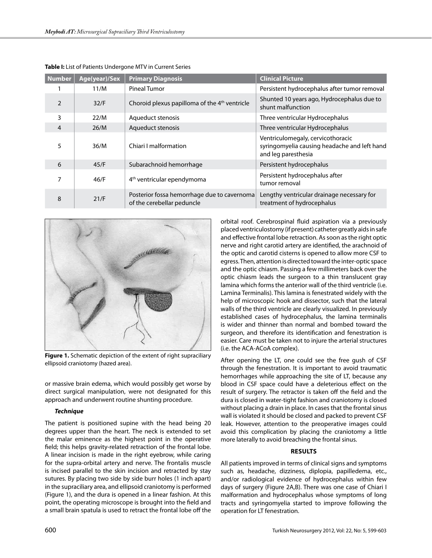| <b>Number</b> | Age(year)/Sex | <b>Primary Diagnosis</b>                                                  | <b>Clinical Picture</b>                                                                                  |
|---------------|---------------|---------------------------------------------------------------------------|----------------------------------------------------------------------------------------------------------|
|               | 11/M          | Pineal Tumor                                                              | Persistent hydrocephalus after tumor removal                                                             |
| $\mathcal{P}$ | 32/F          | Choroid plexus papilloma of the 4 <sup>th</sup> ventricle                 | Shunted 10 years ago, Hydrocephalus due to<br>shunt malfunction                                          |
| 3             | 22/M          | Aqueduct stenosis                                                         | Three ventricular Hydrocephalus                                                                          |
| 4             | 26/M          | Aqueduct stenosis                                                         | Three ventricular Hydrocephalus                                                                          |
| 5             | 36/M          | Chiari I malformation                                                     | Ventriculomegaly, cervicothoracic<br>syringomyelia causing headache and left hand<br>and leg paresthesia |
| 6             | 45/F          | Subarachnoid hemorrhage                                                   | Persistent hydrocephalus                                                                                 |
| 7             | 46/F          | 4 <sup>th</sup> ventricular ependymoma                                    | Persistent hydrocephalus after<br>tumor removal                                                          |
| 8             | 21/F          | Posterior fossa hemorrhage due to cavernoma<br>of the cerebellar peduncle | Lengthy ventricular drainage necessary for<br>treatment of hydrocephalus                                 |

**Table I:** List of Patients Undergone MTV in Current Series



**Figure 1.** Schematic depiction of the extent of right supraciliary ellipsoid craniotomy (hazed area).

or massive brain edema, which would possibly get worse by direct surgical manipulation, were not designated for this approach and underwent routine shunting procedure.

## *Technique*

The patient is positioned supine with the head being 20 degrees upper than the heart. The neck is extended to set the malar eminence as the highest point in the operative field; this helps gravity-related retraction of the frontal lobe. A linear incision is made in the right eyebrow, while caring for the supra-orbital artery and nerve. The frontalis muscle is incised parallel to the skin incision and retracted by stay sutures. By placing two side by side burr holes (1 inch apart) in the supraciliary area, and ellipsoid craniotomy is performed (Figure 1), and the dura is opened in a linear fashion. At this point, the operating microscope is brought into the field and a small brain spatula is used to retract the frontal lobe off the orbital roof. Cerebrospinal fluid aspiration via a previously placed ventriculostomy (if present) catheter greatly aids in safe and effective frontal lobe retraction. As soon as the right optic nerve and right carotid artery are identified, the arachnoid of the optic and carotid cisterns is opened to allow more CSF to egress. Then, attention is directed toward the inter-optic space and the optic chiasm. Passing a few millimeters back over the optic chiasm leads the surgeon to a thin translucent gray lamina which forms the anterior wall of the third ventricle (i.e. Lamina Terminalis). This lamina is fenestrated widely with the help of microscopic hook and dissector, such that the lateral walls of the third ventricle are clearly visualized. In previously established cases of hydrocephalus, the lamina terminalis is wider and thinner than normal and bombed toward the surgeon, and therefore its identification and fenestration is easier. Care must be taken not to injure the arterial structures (i.e. the ACA-ACoA complex).

After opening the LT, one could see the free gush of CSF through the fenestration. It is important to avoid traumatic hemorrhages while approaching the site of LT, because any blood in CSF space could have a deleterious effect on the result of surgery. The retractor is taken off the field and the dura is closed in water-tight fashion and craniotomy is closed without placing a drain in place. In cases that the frontal sinus wall is violated it should be closed and packed to prevent CSF leak. However, attention to the preoperative images could avoid this complication by placing the craniotomy a little more laterally to avoid breaching the frontal sinus.

## **Results**

All patients improved in terms of clinical signs and symptoms such as, headache, dizziness, diplopia, papilledema, etc., and/or radiological evidence of hydrocephalus within few days of surgery (Figure 2A,B). There was one case of Chiari I malformation and hydrocephalus whose symptoms of long tracts and syringomyelia started to improve following the operation for LT fenestration.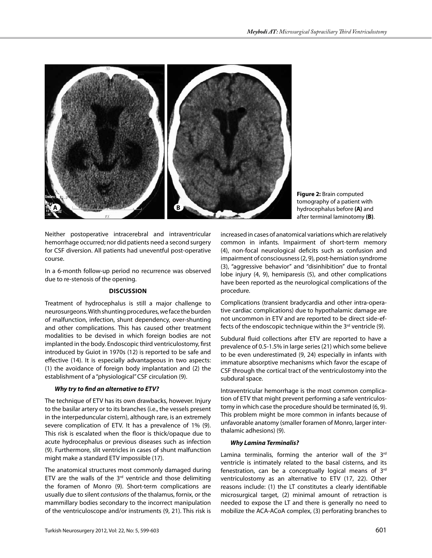

**Figure 2:** Brain computed tomography of a patient with hydrocephalus before **(A)** and after terminal laminotomy **(B)**.

Neither postoperative intracerebral and intraventricular hemorrhage occurred; nor did patients need a second surgery for CSF diversion. All patients had uneventful post-operative course.

In a 6-month follow-up period no recurrence was observed due to re-stenosis of the opening.

# **Discussion**

Treatment of hydrocephalus is still a major challenge to neurosurgeons. With shunting procedures, we face the burden of malfunction, infection, shunt dependency, over-shunting and other complications. This has caused other treatment modalities to be devised in which foreign bodies are not implanted in the body. Endoscopic third ventriculostomy, first introduced by Guiot in 1970s (12) is reported to be safe and effective (14). It is especially advantageous in two aspects: (1) the avoidance of foreign body implantation and (2) the establishment of a "physiological" CSF circulation (9).

# *Why try to find an alternative to ETV?*

The technique of ETV has its own drawbacks, however. Injury to the basilar artery or to its branches (i.e., the vessels present in the interpeduncular cistern), although rare, is an extremely severe complication of ETV. It has a prevalence of 1% (9). This risk is escalated when the floor is thick/opaque due to acute hydrocephalus or previous diseases such as infection (9). Furthermore, slit ventricles in cases of shunt malfunction might make a standard ETV impossible (17).

The anatomical structures most commonly damaged during ETV are the walls of the  $3<sup>rd</sup>$  ventricle and those delimiting the foramen of Monro (9). Short-term complications are usually due to silent *contusions* of the thalamus, fornix, or the mammillary bodies secondary to the incorrect manipulation of the ventriculoscope and/or instruments (9, 21). This risk is increased in cases of anatomical variations which are relatively common in infants. Impairment of short-term memory (4), non-focal neurological deficits such as confusion and impairment of consciousness (2, 9), post-herniation syndrome (3), "aggressive behavior" and "disinhibition" due to frontal lobe injury (4, 9), hemiparesis (5), and other complications have been reported as the neurological complications of the procedure.

Complications (transient bradycardia and other intra-operative cardiac complications) due to hypothalamic damage are not uncommon in ETV and are reported to be direct side-effects of the endoscopic technique within the 3<sup>rd</sup> ventricle (9).

Subdural fluid collections after ETV are reported to have a prevalence of 0.5-1.5% in large series (21) which some believe to be even underestimated (9, 24) especially in infants with immature absorptive mechanisms which favor the escape of CSF through the cortical tract of the ventriculostomy into the subdural space.

Intraventricular hemorrhage is the most common complication of ETV that might prevent performing a safe ventriculostomy in which case the procedure should be terminated (6, 9). This problem might be more common in infants because of unfavorable anatomy (smaller foramen of Monro, larger interthalamic adhesions) (9).

# *Why Lamina Terminalis?*

Lamina terminalis, forming the anterior wall of the  $3<sup>rd</sup>$ ventricle is intimately related to the basal cisterns, and its fenestration, can be a conceptually logical means of 3rd ventriculostomy as an alternative to ETV (17, 22). Other reasons include: (1) the LT constitutes a clearly identifiable microsurgical target, (2) minimal amount of retraction is needed to expose the LT and there is generally no need to mobilize the ACA-ACoA complex, (3) perforating branches to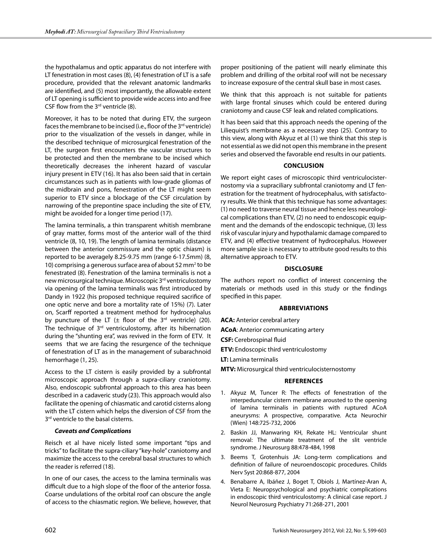the hypothalamus and optic apparatus do not interfere with LT fenestration in most cases (8), (4) fenestration of LT is a safe procedure, provided that the relevant anatomic landmarks are identified, and (5) most importantly, the allowable extent of LT opening is sufficient to provide wide access into and free CSF flow from the  $3<sup>rd</sup>$  ventricle (8).

Moreover, it has to be noted that during ETV, the surgeon faces the membrane to be incised (i.e., floor of the  $3^{rd}$  ventricle) prior to the visualization of the vessels in danger, while in the described technique of microsurgical fenestration of the LT, the surgeon first encounters the vascular structures to be protected and then the membrane to be incised which theoretically decreases the inherent hazard of vascular injury present in ETV (16). It has also been said that in certain circumstances such as in patients with low-grade gliomas of the midbrain and pons, fenestration of the LT might seem superior to ETV since a blockage of the CSF circulation by narrowing of the prepontine space including the site of ETV, might be avoided for a longer time period (17).

The lamina terminalis, a thin transparent whitish membrane of gray matter, forms most of the anterior wall of the third ventricle (8, 10, 19). The length of lamina terminalis (distance between the anterior commissure and the optic chiasm) is reported to be averagely 8.25-9.75 mm (range 6-17.5mm) (8, 10) comprising a generous surface area of about 52 mm<sup>2</sup> to be fenestrated (8). Fenestration of the lamina terminalis is not a new microsurgical technique. Microscopic 3<sup>rd</sup> ventriculostomy via opening of the lamina terminalis was first introduced by Dandy in 1922 (his proposed technique required sacrifice of one optic nerve and bore a mortality rate of 15%) (7). Later on, Scarff reported a treatment method for hydrocephalus by puncture of the LT  $(\pm$  floor of the 3<sup>rd</sup> ventricle) (20). The technique of  $3<sup>rd</sup>$  ventriculostomy, after its hibernation during the "shunting era", was revived in the form of ETV. It seems that we are facing the resurgence of the technique of fenestration of LT as in the management of subarachnoid hemorrhage (1, 25).

Access to the LT cistern is easily provided by a subfrontal microscopic approach through a supra-ciliary craniotomy. Also, endoscopic subfrontal approach to this area has been described in a cadaveric study (23). This approach would also facilitate the opening of chiasmatic and carotid cisterns along with the LT cistern which helps the diversion of CSF from the 3<sup>rd</sup> ventricle to the basal cisterns.

## *Caveats and Complications*

Reisch et al have nicely listed some important "tips and tricks" to facilitate the supra-ciliary "key-hole" craniotomy and maximize the access to the cerebral basal structures to which the reader is referred (18).

In one of our cases, the access to the lamina terminalis was difficult due to a high slope of the floor of the anterior fossa. Coarse undulations of the orbital roof can obscure the angle of access to the chiasmatic region. We believe, however, that

proper positioning of the patient will nearly eliminate this problem and drilling of the orbital roof will not be necessary to increase exposure of the central skull base in most cases.

We think that this approach is not suitable for patients with large frontal sinuses which could be entered during craniotomy and cause CSF leak and related complications.

It has been said that this approach needs the opening of the Liliequist's membrane as a necessary step (25). Contrary to this view, along with Akyuz et al (1) we think that this step is not essential as we did not open this membrane in the present series and observed the favorable end results in our patients.

## **Conclusion**

We report eight cases of microscopic third ventriculocisternostomy via a supraciliary subfrontal craniotomy and LT fenestration for the treatment of hydrocephalus, with satisfactory results. We think that this technique has some advantages: (1) no need to traverse neural tissue and hence less neurological complications than ETV, (2) no need to endoscopic equipment and the demands of the endoscopic technique, (3) less risk of vascular injury and hypothalamic damage compared to ETV, and (4) effective treatment of hydrocephalus. However more sample size is necessary to attribute good results to this alternative approach to ETV.

## **Disclosure**

The authors report no conflict of interest concerning the materials or methods used in this study or the findings specified in this paper.

## **Abbreviations**

**ACoA**: Anterior communicating artery

**CSF:** Cerebrospinal fluid

**ACA:** Anterior cerebral artery

**ETV:** Endoscopic third ventriculostomy

**LT:** Lamina terminalis

**MTV:** Microsurgical third ventriculocisternostomy

## **References**

- 1. Akyuz M, Tuncer R: The effects of fenestration of the interpeduncular cistern membrane arousted to the opening of lamina terminalis in patients with ruptured ACoA aneurysms: A prospective, comparative. Acta Neurochir (Wien) 148:725-732, 2006
- 2. Baskin JJ, Manwaring KH, Rekate HL: Ventricular shunt removal: The ultimate treatment of the slit ventricle syndrome. J Neurosurg 88:478-484, 1998
- 3. Beems T, Grotenhuis JA: Long-term complications and definition of failure of neuroendoscopic procedures. Childs Nerv Syst 20:868-877, 2004
- 4. Benabarre A, Ibáñez J, Boget T, Obiols J, Martínez-Aran A, Vieta E: Neuropsychological and psychiatric complications in endoscopic third ventriculostomy: A clinical case report. J Neurol Neurosurg Psychiatry 71:268-271, 2001